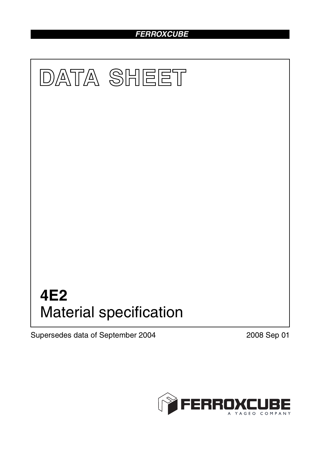## *FERROXCUBE*



Supersedes data of September 2004 2008 Sep 01

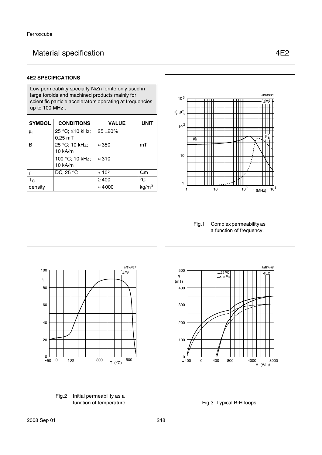# Material specification **ALCO Material specification ALCO**

### **4E2 SPECIFICATIONS**

Low permeability specialty NiZn ferrite only used in large toroids and machined products mainly for scientific particle accelerators operating at frequencies up to 100 MHz..

| <b>SYMBOL</b>  | <b>CONDITIONS</b>            | <b>VALUE</b>   | <b>UNIT</b>       |
|----------------|------------------------------|----------------|-------------------|
| μ <sub>i</sub> | 25 °C; ≤10 kHz;<br>$0.25$ mT | $25 + 20%$     |                   |
| B              | 25 °C; 10 kHz;<br>10 kA/m    | $\approx 350$  | mT                |
|                | 100 °C; 10 kHz;<br>10 kA/m   | $\approx$ 310  |                   |
| ρ              | DC, 25 °C                    | $\approx 10^5$ | $\Omega$ m        |
| $T_{\rm C}$    |                              | $\geq 400$     | $^{\circ}C$       |
| density        |                              | $\approx 4000$ | kg/m <sup>3</sup> |